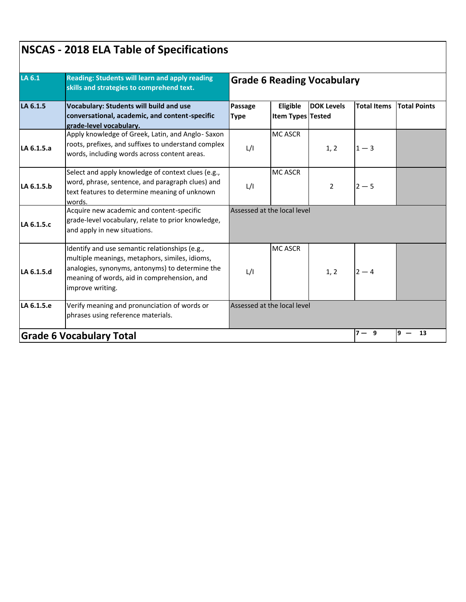| LA 6.1<br>LA 6.1.5 | Reading: Students will learn and apply reading<br>skills and strategies to comprehend text.<br><b>Vocabulary: Students will build and use</b><br>conversational, academic, and content-specific<br>grade-level vocabulary. | <b>Grade 6 Reading Vocabulary</b> |                               |                   |                    |                     |  |  |
|--------------------|----------------------------------------------------------------------------------------------------------------------------------------------------------------------------------------------------------------------------|-----------------------------------|-------------------------------|-------------------|--------------------|---------------------|--|--|
|                    |                                                                                                                                                                                                                            | Passage<br><b>Type</b>            | Eligible<br>Item Types Tested | <b>DOK Levels</b> | <b>Total Items</b> | <b>Total Points</b> |  |  |
| LA 6.1.5.a         | Apply knowledge of Greek, Latin, and Anglo-Saxon<br>roots, prefixes, and suffixes to understand complex<br>words, including words across content areas.                                                                    | L/I                               | <b>MC ASCR</b>                | 1, 2              | $1 - 3$            |                     |  |  |
| LA 6.1.5.b         | Select and apply knowledge of context clues (e.g.,<br>word, phrase, sentence, and paragraph clues) and<br>text features to determine meaning of unknown<br>words.                                                          | L/I                               | <b>MC ASCR</b>                | $\overline{2}$    | $2 - 5$            |                     |  |  |
| LA 6.1.5.c         | Acquire new academic and content-specific<br>grade-level vocabulary, relate to prior knowledge,<br>and apply in new situations.                                                                                            |                                   | Assessed at the local level   |                   |                    |                     |  |  |
| LA 6.1.5.d         | Identify and use semantic relationships (e.g.,<br>multiple meanings, metaphors, similes, idioms,<br>analogies, synonyms, antonyms) to determine the<br>meaning of words, aid in comprehension, and<br>improve writing.     | L/I                               | <b>MC ASCR</b>                | 1, 2              | $2 - 4$            |                     |  |  |
| LA 6.1.5.e         | Verify meaning and pronunciation of words or<br>phrases using reference materials.                                                                                                                                         |                                   | Assessed at the local level   |                   |                    |                     |  |  |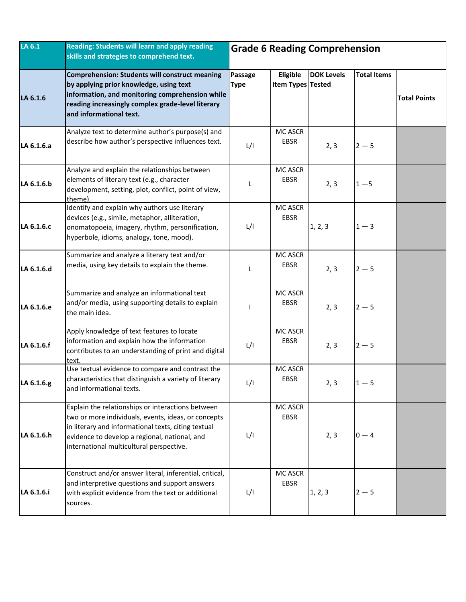| LA 6.1     | Reading: Students will learn and apply reading<br>skills and strategies to comprehend text.                                                                                                                                                                  | <b>Grade 6 Reading Comprehension</b> |                               |                   |                    |                     |
|------------|--------------------------------------------------------------------------------------------------------------------------------------------------------------------------------------------------------------------------------------------------------------|--------------------------------------|-------------------------------|-------------------|--------------------|---------------------|
| LA 6.1.6   | <b>Comprehension: Students will construct meaning</b><br>by applying prior knowledge, using text<br>information, and monitoring comprehension while<br>reading increasingly complex grade-level literary<br>and informational text.                          | Passage<br><b>Type</b>               | Eligible<br>Item Types Tested | <b>DOK Levels</b> | <b>Total Items</b> | <b>Total Points</b> |
| LA 6.1.6.a | Analyze text to determine author's purpose(s) and<br>describe how author's perspective influences text.                                                                                                                                                      | L/I                                  | MC ASCR<br><b>EBSR</b>        | 2, 3              | $2 - 5$            |                     |
| LA 6.1.6.b | Analyze and explain the relationships between<br>elements of literary text (e.g., character<br>development, setting, plot, conflict, point of view,<br>theme).                                                                                               | L                                    | MC ASCR<br><b>EBSR</b>        | 2, 3              | $1 - 5$            |                     |
| LA 6.1.6.c | Identify and explain why authors use literary<br>devices (e.g., simile, metaphor, alliteration,<br>onomatopoeia, imagery, rhythm, personification,<br>hyperbole, idioms, analogy, tone, mood).                                                               | L/I                                  | <b>MC ASCR</b><br><b>EBSR</b> | 1, 2, 3           | $1-3$              |                     |
| LA 6.1.6.d | Summarize and analyze a literary text and/or<br>media, using key details to explain the theme.                                                                                                                                                               | L                                    | MC ASCR<br>EBSR               | 2, 3              | $2 - 5$            |                     |
| LA 6.1.6.e | Summarize and analyze an informational text<br>and/or media, using supporting details to explain<br>the main idea.                                                                                                                                           |                                      | MC ASCR<br><b>EBSR</b>        | 2, 3              | $2 - 5$            |                     |
| LA 6.1.6.f | Apply knowledge of text features to locate<br>information and explain how the information<br>contributes to an understanding of print and digital<br>text.                                                                                                   | L/I                                  | <b>MC ASCR</b><br>EBSR        | 2, 3              | $2 - 5$            |                     |
| LA 6.1.6.g | Use textual evidence to compare and contrast the<br>characteristics that distinguish a variety of literary<br>and informational texts.                                                                                                                       | L/I                                  | MC ASCR<br><b>EBSR</b>        | 2, 3              | $1 - 5$            |                     |
| LA 6.1.6.h | Explain the relationships or interactions between<br>two or more individuals, events, ideas, or concepts<br>in literary and informational texts, citing textual<br>evidence to develop a regional, national, and<br>international multicultural perspective. | L/I                                  | MC ASCR<br>EBSR               | 2, 3              | $0 - 4$            |                     |
| LA 6.1.6.i | Construct and/or answer literal, inferential, critical,<br>and interpretive questions and support answers<br>with explicit evidence from the text or additional<br>sources.                                                                                  | L/I                                  | MC ASCR<br>EBSR               | 1, 2, 3           | $2 - 5$            |                     |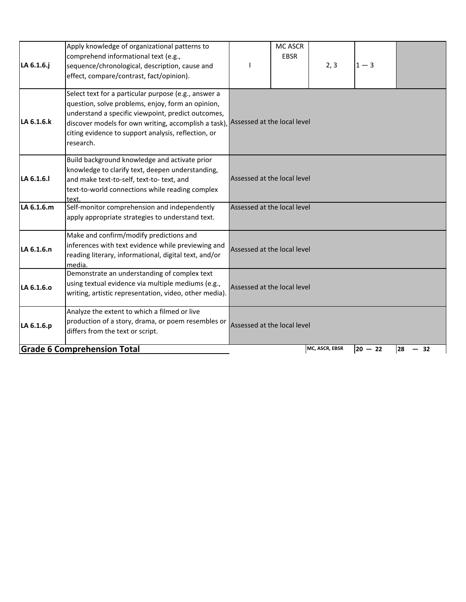| LA 6.1.6.j | Apply knowledge of organizational patterns to<br>comprehend informational text (e.g.,<br>sequence/chronological, description, cause and<br>effect, compare/contrast, fact/opinion).                                                                                                                                     |                             | <b>MC ASCR</b><br><b>EBSR</b> | 2, 3           | $1 - 3$   |          |  |
|------------|-------------------------------------------------------------------------------------------------------------------------------------------------------------------------------------------------------------------------------------------------------------------------------------------------------------------------|-----------------------------|-------------------------------|----------------|-----------|----------|--|
| LA 6.1.6.k | Select text for a particular purpose (e.g., answer a<br>question, solve problems, enjoy, form an opinion,<br>understand a specific viewpoint, predict outcomes,<br>discover models for own writing, accomplish a task), Assessed at the local level<br>citing evidence to support analysis, reflection, or<br>research. |                             |                               |                |           |          |  |
| LA 6.1.6.  | Build background knowledge and activate prior<br>knowledge to clarify text, deepen understanding,<br>and make text-to-self, text-to- text, and<br>text-to-world connections while reading complex<br>text                                                                                                               | Assessed at the local level |                               |                |           |          |  |
| LA 6.1.6.m | Self-monitor comprehension and independently<br>apply appropriate strategies to understand text.                                                                                                                                                                                                                        | Assessed at the local level |                               |                |           |          |  |
| LA 6.1.6.n | Make and confirm/modify predictions and<br>inferences with text evidence while previewing and<br>reading literary, informational, digital text, and/or<br>media.                                                                                                                                                        | Assessed at the local level |                               |                |           |          |  |
| LA 6.1.6.0 | Demonstrate an understanding of complex text<br>using textual evidence via multiple mediums (e.g.,<br>writing, artistic representation, video, other media).                                                                                                                                                            | Assessed at the local level |                               |                |           |          |  |
| LA 6.1.6.p | Analyze the extent to which a filmed or live<br>production of a story, drama, or poem resembles or<br>differs from the text or script.                                                                                                                                                                                  | Assessed at the local level |                               |                |           |          |  |
|            | <b>Grade 6 Comprehension Total</b>                                                                                                                                                                                                                                                                                      |                             |                               | MC, ASCR, EBSR | $20 - 22$ | 28<br>32 |  |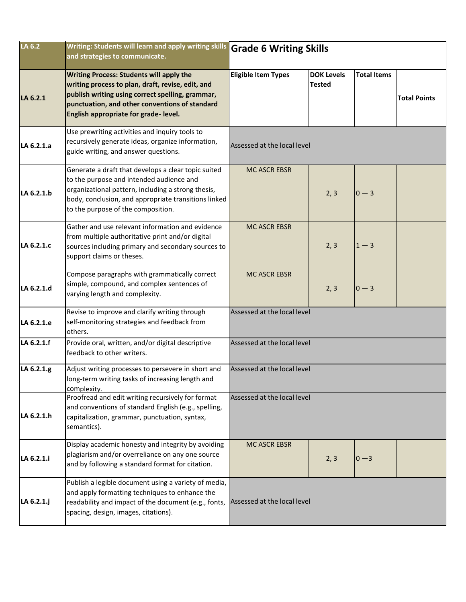| LA 6.2     | Writing: Students will learn and apply writing skills Grade 6 Writing Skills<br>and strategies to communicate.                                                                                                                                      |                             |                                    |                    |                     |  |  |
|------------|-----------------------------------------------------------------------------------------------------------------------------------------------------------------------------------------------------------------------------------------------------|-----------------------------|------------------------------------|--------------------|---------------------|--|--|
| LA 6.2.1   | <b>Writing Process: Students will apply the</b><br>writing process to plan, draft, revise, edit, and<br>publish writing using correct spelling, grammar,<br>punctuation, and other conventions of standard<br>English appropriate for grade-level.  | <b>Eligible Item Types</b>  | <b>DOK Levels</b><br><b>Tested</b> | <b>Total Items</b> | <b>Total Points</b> |  |  |
| LA 6.2.1.a | Use prewriting activities and inquiry tools to<br>recursively generate ideas, organize information,<br>guide writing, and answer questions.                                                                                                         | Assessed at the local level |                                    |                    |                     |  |  |
| LA 6.2.1.b | Generate a draft that develops a clear topic suited<br>to the purpose and intended audience and<br>organizational pattern, including a strong thesis,<br>body, conclusion, and appropriate transitions linked<br>to the purpose of the composition. | <b>MC ASCR EBSR</b>         | 2, 3                               | $0 - 3$            |                     |  |  |
| LA 6.2.1.c | Gather and use relevant information and evidence<br>from multiple authoritative print and/or digital<br>sources including primary and secondary sources to<br>support claims or theses.                                                             | <b>MC ASCR EBSR</b>         | 2, 3                               | $1 - 3$            |                     |  |  |
| LA 6.2.1.d | Compose paragraphs with grammatically correct<br>simple, compound, and complex sentences of<br>varying length and complexity.                                                                                                                       | <b>MC ASCR EBSR</b>         | 2, 3                               | $0 - 3$            |                     |  |  |
| LA 6.2.1.e | Revise to improve and clarify writing through<br>self-monitoring strategies and feedback from<br>others.                                                                                                                                            | Assessed at the local level |                                    |                    |                     |  |  |
| LA 6.2.1.f | Provide oral, written, and/or digital descriptive<br>feedback to other writers.                                                                                                                                                                     | Assessed at the local level |                                    |                    |                     |  |  |
| LA 6.2.1.g | Adjust writing processes to persevere in short and<br>long-term writing tasks of increasing length and<br>complexity.                                                                                                                               | Assessed at the local level |                                    |                    |                     |  |  |
| LA 6.2.1.h | Proofread and edit writing recursively for format<br>and conventions of standard English (e.g., spelling,<br>capitalization, grammar, punctuation, syntax,<br>semantics).                                                                           | Assessed at the local level |                                    |                    |                     |  |  |
| LA 6.2.1.i | Display academic honesty and integrity by avoiding<br>plagiarism and/or overreliance on any one source<br>and by following a standard format for citation.                                                                                          | <b>MC ASCR EBSR</b>         | 2, 3                               | $ 0 - 3 $          |                     |  |  |
| LA 6.2.1.j | Publish a legible document using a variety of media,<br>and apply formatting techniques to enhance the<br>readability and impact of the document (e.g., fonts,<br>spacing, design, images, citations).                                              | Assessed at the local level |                                    |                    |                     |  |  |